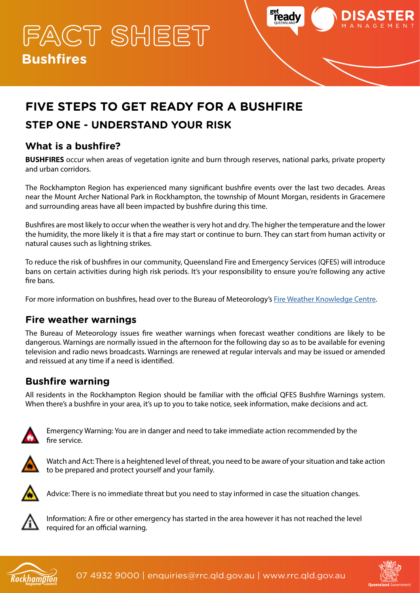**FACT SHEET Bushfires**



# **FIVE STEPS TO GET READY FOR A BUSHFIRE**

## **STEP ONE - UNDERSTAND YOUR RISK**

## **What is a bushfire?**

**BUSHFIRES** occur when areas of vegetation ignite and burn through reserves, national parks, private property and urban corridors.

The Rockhampton Region has experienced many significant bushfire events over the last two decades. Areas near the Mount Archer National Park in Rockhampton, the township of Mount Morgan, residents in Gracemere and surrounding areas have all been impacted by bushfire during this time.

Bushfires are most likely to occur when the weather is very hot and dry. The higher the temperature and the lower the humidity, the more likely it is that a fire may start or continue to burn. They can start from human activity or natural causes such as lightning strikes.

To reduce the risk of bushfires in our community, Queensland Fire and Emergency Services (QFES) will introduce bans on certain activities during high risk periods. It's your responsibility to ensure you're following any active fire bans.

For more information on bushfires, head over to the Bureau of Meteorology's [Fire Weather Knowledge Centre.](http://www.bom.gov.au/weather-services/fire-weather-centre/index.shtml)

#### **Fire weather warnings**

The Bureau of Meteorology issues fire weather warnings when forecast weather conditions are likely to be dangerous. Warnings are normally issued in the afternoon for the following day so as to be available for evening television and radio news broadcasts. Warnings are renewed at regular intervals and may be issued or amended and reissued at any time if a need is identified.

### **Bushfire warning**

All residents in the Rockhampton Region should be familiar with the official QFES Bushfire Warnings system. When there's a bushfire in your area, it's up to you to take notice, seek information, make decisions and act.



Emergency Warning: You are in danger and need to take immediate action recommended by the fire service.



Watch and Act: There is a heightened level of threat, you need to be aware of your situation and take action to be prepared and protect yourself and your family.



Advice: There is no immediate threat but you need to stay informed in case the situation changes.



Information: A fire or other emergency has started in the area however it has not reached the level required for an official warning.